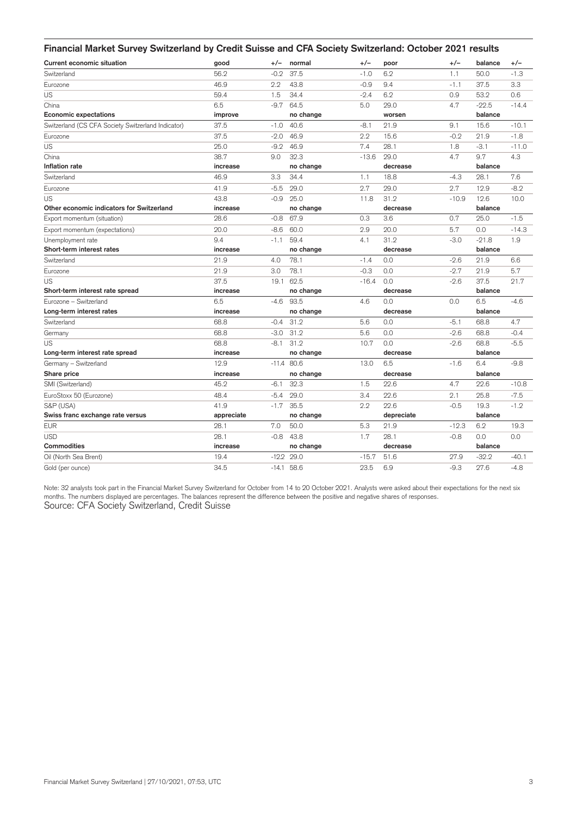| Financial Market Survey Switzerland by Credit Suisse and CFA Society Switzerland: October 2021 results |            |         |              |         |            |         |         |         |
|--------------------------------------------------------------------------------------------------------|------------|---------|--------------|---------|------------|---------|---------|---------|
| <b>Current economic situation</b>                                                                      | good       | $+/-$   | normal       | $+/-$   | poor       | $+/-$   | balance | $+/-$   |
| Switzerland                                                                                            | 56.2       | $-0.2$  | 37.5         | $-1.0$  | 6.2        | 1.1     | 50.0    | $-1.3$  |
| Eurozone                                                                                               | 46.9       | 2.2     | 43.8         | $-0.9$  | 9.4        | $-1.1$  | 37.5    | 3.3     |
| US                                                                                                     | 59.4       | 1.5     | 34.4         | $-2.4$  | 6.2        | 0.9     | 53.2    | 0.6     |
| China                                                                                                  | 6.5        | $-9.7$  | 64.5         | 5.0     | 29.0       | 4.7     | $-22.5$ | $-14.4$ |
| <b>Economic expectations</b>                                                                           | improve    |         | no change    |         | worsen     |         | balance |         |
| Switzerland (CS CFA Society Switzerland Indicator)                                                     | 37.5       | $-1.0$  | 40.6         | $-8.1$  | 21.9       | 9.1     | 15.6    | $-10.1$ |
| Eurozone                                                                                               | 37.5       | $-2.0$  | 46.9         | 2.2     | 15.6       | $-0.2$  | 21.9    | $-1.8$  |
| US                                                                                                     | 25.0       | $-9.2$  | 46.9         | 7.4     | 28.1       | 1.8     | $-3.1$  | $-11.0$ |
| China                                                                                                  | 38.7       | 9.0     | 32.3         | $-13.6$ | 29.0       | 4.7     | 9.7     | 4.3     |
| Inflation rate                                                                                         | increase   |         | no change    |         | decrease   |         | balance |         |
| Switzerland                                                                                            | 46.9       | 3.3     | 34.4         | 1.1     | 18.8       | $-4.3$  | 28.1    | 7.6     |
| Eurozone                                                                                               | 41.9       | $-5.5$  | 29.0         | 2.7     | 29.0       | 2.7     | 12.9    | $-8.2$  |
| US                                                                                                     | 43.8       | $-0.9$  | 25.0         | 11.8    | 31.2       | $-10.9$ | 12.6    | 10.0    |
| Other economic indicators for Switzerland                                                              | increase   |         | no change    |         | decrease   |         | balance |         |
| Export momentum (situation)                                                                            | 28.6       | $-0.8$  | 67.9         | 0.3     | 3.6        | 0.7     | 25.0    | $-1.5$  |
| Export momentum (expectations)                                                                         | 20.0       | $-8.6$  | 60.0         | 2.9     | 20.0       | 5.7     | 0.0     | $-14.3$ |
| Unemployment rate                                                                                      | 9.4        | $-1.1$  | 59.4         | 4.1     | 31.2       | $-3.0$  | $-21.8$ | 1.9     |
| Short-term interest rates                                                                              | increase   |         | no change    |         | decrease   |         | balance |         |
| Switzerland                                                                                            | 21.9       | 4.0     | 78.1         | $-1.4$  | 0.0        | $-2.6$  | 21.9    | 6.6     |
| Eurozone                                                                                               | 21.9       | 3.0     | 78.1         | $-0.3$  | 0.0        | $-2.7$  | 21.9    | 5.7     |
| US                                                                                                     | 37.5       | 19.1    | 62.5         | $-16.4$ | 0.0        | $-2.6$  | 37.5    | 21.7    |
| Short-term interest rate spread                                                                        | increase   |         | no change    |         | decrease   |         | balance |         |
| Eurozone – Switzerland                                                                                 | 6.5        | $-4.6$  | 93.5         | 4.6     | 0.0        | 0.0     | 6.5     | $-4.6$  |
| Long-term interest rates                                                                               | increase   |         | no change    |         | decrease   |         | balance |         |
| Switzerland                                                                                            | 68.8       | $-0.4$  | 31.2         | 5.6     | 0.0        | $-5.1$  | 68.8    | 4.7     |
| Germany                                                                                                | 68.8       | $-3.0$  | 31.2         | 5.6     | 0.0        | $-2.6$  | 68.8    | $-0.4$  |
| US                                                                                                     | 68.8       | $-8.1$  | 31.2         | 10.7    | 0.0        | $-2.6$  | 68.8    | $-5.5$  |
| Long-term interest rate spread                                                                         | increase   |         | no change    |         | decrease   |         | balance |         |
| Germany - Switzerland                                                                                  | 12.9       | $-11.4$ | 80.6         | 13.0    | 6.5        | $-1.6$  | 6.4     | $-9.8$  |
| Share price                                                                                            | increase   |         | no change    |         | decrease   |         | balance |         |
| SMI (Switzerland)                                                                                      | 45.2       | $-6.1$  | 32.3         | 1.5     | 22.6       | 4.7     | 22.6    | $-10.8$ |
| EuroStoxx 50 (Eurozone)                                                                                | 48.4       | $-5.4$  | 29.0         | 3.4     | 22.6       | 2.1     | 25.8    | $-7.5$  |
| S&P (USA)                                                                                              | 41.9       | $-1.7$  | 35.5         | 2.2     | 22.6       | $-0.5$  | 19.3    | $-1.2$  |
| Swiss franc exchange rate versus                                                                       | appreciate |         | no change    |         | depreciate |         | balance |         |
| <b>EUR</b>                                                                                             | 28.1       | 7.0     | 50.0         | 5.3     | 21.9       | $-12.3$ | 6.2     | 19.3    |
| <b>USD</b>                                                                                             | 28.1       | $-0.8$  | 43.8         | 1.7     | 28.1       | $-0.8$  | 0.0     | 0.0     |
| <b>Commodities</b>                                                                                     | increase   |         | no change    |         | decrease   |         | balance |         |
| Oil (North Sea Brent)                                                                                  | 19.4       |         | $-12.2$ 29.0 | $-15.7$ | 51.6       | 27.9    | $-32.2$ | $-40.1$ |
| Gold (per ounce)                                                                                       | 34.5       |         | $-14.1$ 58.6 | 23.5    | 6.9        | $-9.3$  | 27.6    | $-4.8$  |

Note: 32 analysts took part in the Financial Market Survey Switzerland for October from 14 to 20 October 2021. Analysts were asked about their expectations for the next six months. The numbers displayed are percentages. The balances represent the difference between the positive and negative shares of responses. Source: CFA Society Switzerland, Credit Suisse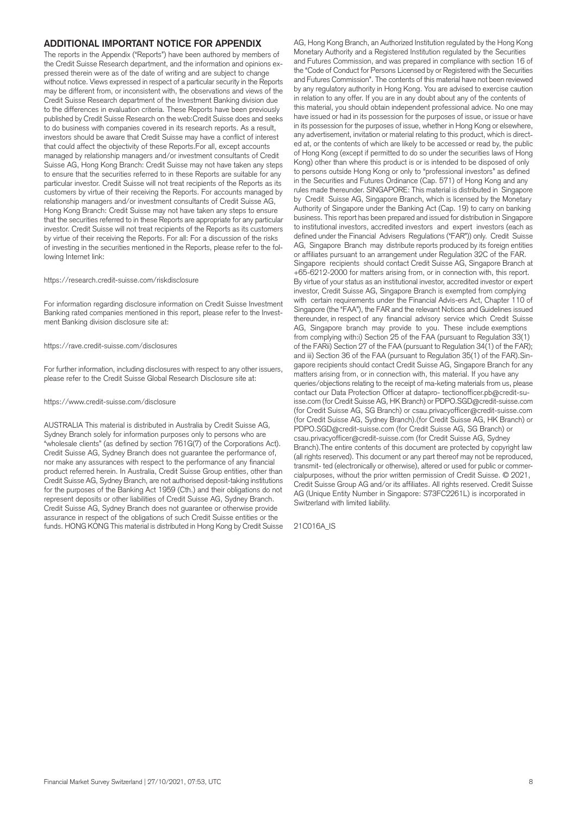### **ADDITIONAL IMPORTANT NOTICE FOR APPENDIX**

The reports in the Appendix ("Reports") have been authored by members of the Credit Suisse Research department, and the information and opinions expressed therein were as of the date of writing and are subject to change without notice. Views expressed in respect of a particular security in the Reports may be different from, or inconsistent with, the observations and views of the Credit Suisse Research department of the Investment Banking division due to the differences in evaluation criteria. These Reports have been previously published by Credit Suisse Research on the web:Credit Suisse does and seeks to do business with companies covered in its research reports. As a result, investors should be aware that Credit Suisse may have a conflict of interest that could affect the objectivity of these Reports.For all, except accounts managed by relationship managers and/or investment consultants of Credit Suisse AG, Hong Kong Branch: Credit Suisse may not have taken any steps to ensure that the securities referred to in these Reports are suitable for any particular investor. Credit Suisse will not treat recipients of the Reports as its customers by virtue of their receiving the Reports. For accounts managed by relationship managers and/or investment consultants of Credit Suisse AG, Hong Kong Branch: Credit Suisse may not have taken any steps to ensure that the securities referred to in these Reports are appropriate for any particular investor. Credit Suisse will not treat recipients of the Reports as its customers by virtue of their receiving the Reports. For all: For a discussion of the risks of investing in the securities mentioned in the Reports, please refer to the following Internet link:

https://research.credit-suisse.com/riskdisclosure

For information regarding disclosure information on Credit Suisse Investment Banking rated companies mentioned in this report, please refer to the Investment Banking division disclosure site at:

#### https://rave.credit-suisse.com/disclosures

For further information, including disclosures with respect to any other issuers, please refer to the Credit Suisse Global Research Disclosure site at:

#### https://www.credit-suisse.com/disclosure

AUSTRALIA This material is distributed in Australia by Credit Suisse AG, Sydney Branch solely for information purposes only to persons who are "wholesale clients" (as defined by section 761G(7) of the Corporations Act). Credit Suisse AG, Sydney Branch does not guarantee the performance of, nor make any assurances with respect to the performance of any financial product referred herein. In Australia, Credit Suisse Group entities, other than Credit Suisse AG, Sydney Branch, are not authorised deposit-taking institutions for the purposes of the Banking Act 1959 (Cth.) and their obligations do not represent deposits or other liabilities of Credit Suisse AG, Sydney Branch. Credit Suisse AG, Sydney Branch does not guarantee or otherwise provide assurance in respect of the obligations of such Credit Suisse entities or the funds. HONG KONG This material is distributed in Hong Kong by Credit Suisse

AG, Hong Kong Branch, an Authorized Institution regulated by the Hong Kong Monetary Authority and a Registered Institution regulated by the Securities and Futures Commission, and was prepared in compliance with section 16 of the "Code of Conduct for Persons Licensed by or Registered with the Securities and Futures Commission". The contents of this material have not been reviewed by any regulatory authority in Hong Kong. You are advised to exercise caution in relation to any offer. If you are in any doubt about any of the contents of this material, you should obtain independent professional advice. No one may have issued or had in its possession for the purposes of issue, or issue or have in its possession for the purposes of issue, whether in Hong Kong or elsewhere, any advertisement, invitation or material relating to this product, which is directed at, or the contents of which are likely to be accessed or read by, the public of Hong Kong (except if permitted to do so under the securities laws of Hong Kong) other than where this product is or is intended to be disposed of only to persons outside Hong Kong or only to "professional investors" as defined in the Securities and Futures Ordinance (Cap. 571) of Hong Kong and any rules made thereunder. SINGAPORE: This material is distributed in Singapore by Credit Suisse AG, Singapore Branch, which is licensed by the Monetary Authority of Singapore under the Banking Act (Cap. 19) to carry on banking business. This report has been prepared and issued for distribution in Singapore to institutional investors, accredited investors and expert investors (each as defined under the Financial Advisers Regulations ("FAR")) only. Credit Suisse AG, Singapore Branch may distribute reports produced by its foreign entities or affiliates pursuant to an arrangement under Regulation 32C of the FAR. Singapore recipients should contact Credit Suisse AG, Singapore Branch at +65-6212-2000 for matters arising from, or in connection with, this report. By virtue of your status as an institutional investor, accredited investor or expert investor, Credit Suisse AG, Singapore Branch is exempted from complying with certain requirements under the Financial Advis-ers Act, Chapter 110 of Singapore (the "FAA"), the FAR and the relevant Notices and Guidelines issued thereunder, in respect of any financial advisory service which Credit Suisse AG, Singapore branch may provide to you. These include exemptions from complying with:i) Section 25 of the FAA (pursuant to Regulation 33(1) of the FARii) Section 27 of the FAA (pursuant to Regulation 34(1) of the FAR); and iii) Section 36 of the FAA (pursuant to Regulation 35(1) of the FAR).Singapore recipients should contact Credit Suisse AG, Singapore Branch for any matters arising from, or in connection with, this material. If you have any queries/objections relating to the receipt of ma-keting materials from us, please contact our Data Protection Officer at datapro- tectionofficer.pb@credit-suisse.com (for Credit Suisse AG, HK Branch) or PDPO.SGD@credit-suisse.com (for Credit Suisse AG, SG Branch) or csau.privacyofficer@credit-suisse.com (for Credit Suisse AG, Sydney Branch).(for Credit Suisse AG, HK Branch) or PDPO.SGD@credit-suisse.com (for Credit Suisse AG, SG Branch) or csau.privacyofficer@credit-suisse.com (for Credit Suisse AG, Sydney Branch).The entire contents of this document are protected by copyright law (all rights reserved). This document or any part thereof may not be reproduced, transmit- ted (electronically or otherwise), altered or used for public or commercialpurposes, without the prior written permission of Credit Suisse. © 2021, Credit Suisse Group AG and/or its affiliates. All rights reserved. Credit Suisse AG (Unique Entity Number in Singapore: S73FC2261L) is incorporated in Switzerland with limited liability.

21C016A\_IS